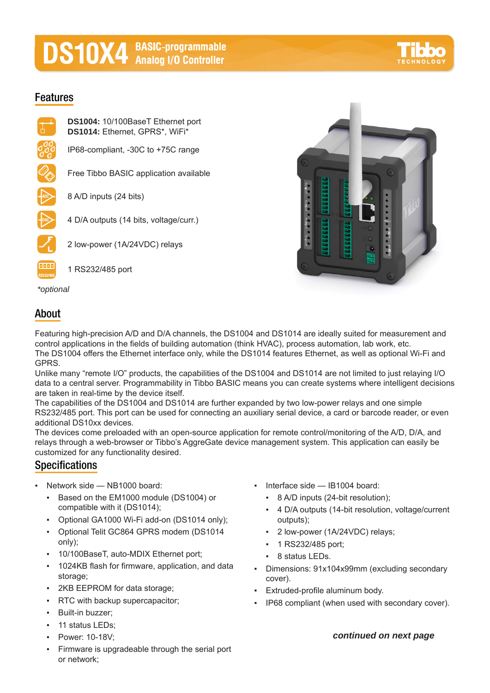# **DS10X4** BASIC-programmable

## **Features**





## *\*optional*

## **About**

Featuring high-precision A/D and D/A channels, the DS1004 and DS1014 are ideally suited for measurement and control applications in the fields of building automation (think HVAC), process automation, lab work, etc. The DS1004 offers the Ethernet interface only, while the DS1014 features Ethernet, as well as optional Wi-Fi and GPRS.

Unlike many "remote I/O" products, the capabilities of the DS1004 and DS1014 are not limited to just relaying I/O data to a central server. Programmability in Tibbo BASIC means you can create systems where intelligent decisions are taken in real-time by the device itself.

The capabilities of the DS1004 and DS1014 are further expanded by two low-power relays and one simple RS232/485 port. This port can be used for connecting an auxiliary serial device, a card or barcode reader, or even additional DS10xx devices.

The devices come preloaded with an open-source application for remote control/monitoring of the A/D, D/A, and relays through a web-browser or Tibbo's AggreGate device management system. This application can easily be customized for any functionality desired.

## **Specifications**

- Network side  $-$  NB1000 board:
	- Based on the EM1000 module (DS1004) or compatible with it (DS1014);
	- Optional GA1000 Wi-Fi add-on (DS1014 only);
	- Optional Telit GC864 GPRS modem (DS1014 only);
	- 10/100BaseT, auto-MDIX Ethernet port;
	- 1024KB flash for firmware, application, and data storage;
	- 2KB EEPROM for data storage;
	- **RTC with backup supercapacitor;**
	- Built-in buzzer;
	- **•** 11 status LEDs:
	- Power: 10-18V;
	- Firmware is upgradeable through the serial port or network;
- Interface side  $-$  IB1004 board:
	- 8 A/D inputs (24-bit resolution);
	- 4 D/A outputs (14-bit resolution, voltage/current outputs);
	- 2 low-power (1A/24VDC) relays;
	- 1 RS232/485 port;
	- 8 status LEDs.
- Dimensions: 91x104x99mm (excluding secondary cover).
- Extruded-profile aluminum body.
- IP68 compliant (when used with secondary cover).

## *continued on next page*